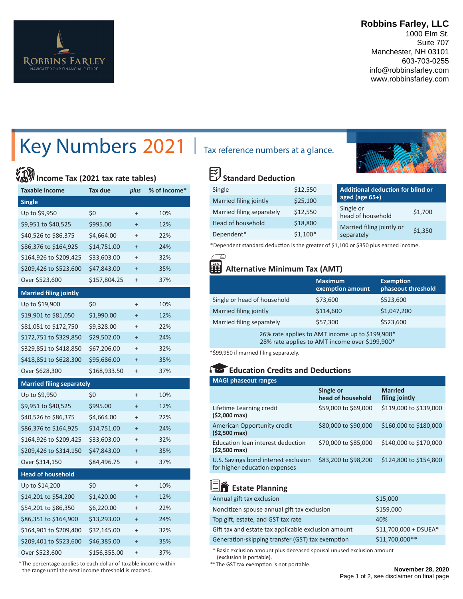

### **Robbins Farley, LLC**

1000 Elm St. Suite 707 Manchester, NH 03101 603-703-0255 info@robbinsfarley.com www.robbinsfarley.com

# Key Numbers 2021 | Tax reference numbers at a glance.

# **Income Tax (2021 tax rate tables)**

| <b>Taxable income</b>            | Tax due      | plus      | % of income* |
|----------------------------------|--------------|-----------|--------------|
| <b>Single</b>                    |              |           |              |
| Up to \$9,950                    | \$0          | $\ddot{}$ | 10%          |
| \$9,951 to \$40,525              | \$995.00     | $\ddot{}$ | 12%          |
| \$40,526 to \$86,375             | \$4,664.00   | $\ddot{}$ | 22%          |
| \$86,376 to \$164,925            | \$14,751.00  | $\ddot{}$ | 24%          |
| \$164,926 to \$209,425           | \$33,603.00  | $\ddot{}$ | 32%          |
| \$209,426 to \$523,600           | \$47,843.00  | $\ddot{}$ | 35%          |
| Over \$523,600                   | \$157,804.25 | $\ddot{}$ | 37%          |
| <b>Married filing jointly</b>    |              |           |              |
| Up to \$19,900                   | \$0          | $\ddot{}$ | 10%          |
| \$19,901 to \$81,050             | \$1,990.00   | $\ddot{}$ | 12%          |
| \$81,051 to \$172,750            | \$9,328.00   | $\ddot{}$ | 22%          |
| \$172,751 to \$329,850           | \$29,502.00  | $\ddot{}$ | 24%          |
| \$329,851 to \$418,850           | \$67,206.00  | $\ddot{}$ | 32%          |
| \$418,851 to \$628,300           | \$95,686.00  | $\ddot{}$ | 35%          |
| Over \$628,300                   | \$168,933.50 | $\ddot{}$ | 37%          |
| <b>Married filing separately</b> |              |           |              |
| Up to \$9,950                    | \$0          | $\ddot{}$ | 10%          |
| \$9,951 to \$40,525              | \$995.00     | $\ddot{}$ | 12%          |
| \$40,526 to \$86,375             | \$4,664.00   | $\ddot{}$ | 22%          |
| \$86,376 to \$164,925            | \$14,751.00  | $\ddot{}$ | 24%          |
| \$164,926 to \$209,425           | \$33,603.00  | $\ddot{}$ | 32%          |
| \$209,426 to \$314,150           | \$47,843.00  | $\ddot{}$ | 35%          |
| Over \$314,150                   | \$84,496.75  | $\ddot{}$ | 37%          |
| <b>Head of household</b>         |              |           |              |
| Up to \$14,200                   | \$0          | $\ddot{}$ | 10%          |
| \$14,201 to \$54,200             | \$1,420.00   | $\ddot{}$ | 12%          |
| \$54,201 to \$86,350             | \$6,220.00   | $\ddot{}$ | 22%          |
| \$86,351 to \$164,900            | \$13,293.00  | $\ddot{}$ | 24%          |
| \$164,901 to \$209,400           | \$32,145.00  | $\ddot{}$ | 32%          |
| \$209,401 to \$523,600           | \$46,385.00  | $\ddot{}$ | 35%          |
| Over \$523,600                   | \$156,355.00 | $\ddot{}$ | 37%          |

 \* The percentage applies to each dollar of taxable income within the range until the next income threshold is reached.



#### 図 **Standard Deduction**

| Single                    | \$12,550  | Additional deduction for blind or         |  |
|---------------------------|-----------|-------------------------------------------|--|
| Married filing jointly    | \$25,100  | aged (age $65+$ )                         |  |
| Married filing separately | \$12,550  | Single or<br>\$1,700<br>head of household |  |
| Head of household         | \$18,800  | Married filing jointly or                 |  |
| Dependent*                | $$1,100*$ | \$1,350<br>separately                     |  |

\* Dependent standard deduction is the greater of \$1,100 or \$350 plus earned income.

### **Alternative Minimum Tax (AMT)**

|                                                                                                                                                                                                                                                                                                                                         | <b>Maximum</b><br>exemption amount | <b>Exemption</b><br>phaseout threshold |
|-----------------------------------------------------------------------------------------------------------------------------------------------------------------------------------------------------------------------------------------------------------------------------------------------------------------------------------------|------------------------------------|----------------------------------------|
| Single or head of household                                                                                                                                                                                                                                                                                                             | \$73,600                           | \$523,600                              |
| Married filing jointly                                                                                                                                                                                                                                                                                                                  | \$114,600                          | \$1,047,200                            |
| Married filing separately                                                                                                                                                                                                                                                                                                               | \$57,300                           | \$523,600                              |
| 26% rate applies to AMT income up to \$199,900*<br>$\mathcal{A}$ and $\mathcal{A}$ is a set of $\mathcal{A}$ in the set of $\mathcal{A}$ is a set of $\mathcal{A}$ is a set of $\mathcal{A}$ is a set of $\mathcal{A}$ is a set of $\mathcal{A}$ is a set of $\mathcal{A}$ is a set of $\mathcal{A}$ is a set of $\mathcal{A}$ is a set |                                    |                                        |

28% rate applies to AMT income over \$199,900\*

\*\$99,950 if married filing separately.

### **Education Credits and Deductions**

| <b>MAGI phaseout ranges</b>                                           |                                |                                  |
|-----------------------------------------------------------------------|--------------------------------|----------------------------------|
|                                                                       | Single or<br>head of household | <b>Married</b><br>filing jointly |
| Lifetime Learning credit<br>(\$2,000 max)                             | \$59,000 to \$69,000           | \$119,000 to \$139,000           |
| American Opportunity credit<br>$(52,500 \text{ max})$                 | \$80,000 to \$90,000           | \$160,000 to \$180,000           |
| Education loan interest deduction<br>(\$2,500 max)                    | \$70,000 to \$85,000           | \$140,000 to \$170,000           |
| U.S. Savings bond interest exclusion<br>for higher-education expenses | \$83,200 to \$98,200           | \$124,800 to \$154,800           |

## **End** Estate Planning

| Annual gift tax exclusion                           | \$15,000               |
|-----------------------------------------------------|------------------------|
| Noncitizen spouse annual gift tax exclusion         | \$159,000              |
| Top gift, estate, and GST tax rate                  | 40%                    |
| Gift tax and estate tax applicable exclusion amount | $$11,700,000 + DSUEA*$ |
| Generation-skipping transfer (GST) tax exemption    | \$11,700,000**         |

 \* Basic exclusion amount plus deceased spousal unused exclusion amount (exclusion is portable).

\*\*The GST tax exemption is not portable.